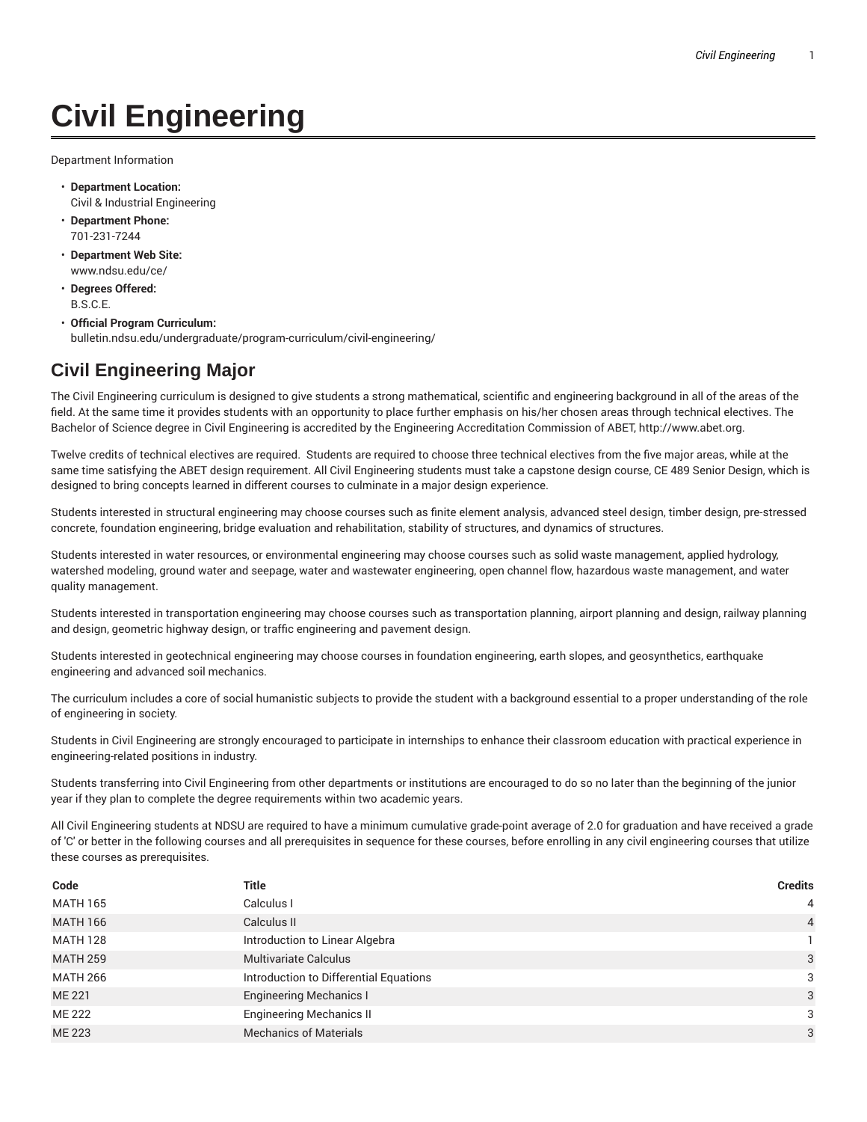## **Civil Engineering**

Department Information

- **Department Location:** Civil & Industrial Engineering
- **Department Phone:** 701-231-7244
- **Department Web Site:** www.ndsu.edu/ce/
- **Degrees Offered:** B.S.C.E.
- **Official Program Curriculum:** bulletin.ndsu.edu/undergraduate/program-curriculum/civil-engineering/

## **Civil Engineering Major**

The Civil Engineering curriculum is designed to give students a strong mathematical, scientific and engineering background in all of the areas of the field. At the same time it provides students with an opportunity to place further emphasis on his/her chosen areas through technical electives. The Bachelor of Science degree in Civil Engineering is accredited by the Engineering Accreditation Commission of ABET, http://www.abet.org.

Twelve credits of technical electives are required. Students are required to choose three technical electives from the five major areas, while at the same time satisfying the ABET design requirement. All Civil Engineering students must take a capstone design course, CE 489 Senior Design, which is designed to bring concepts learned in different courses to culminate in a major design experience.

Students interested in structural engineering may choose courses such as finite element analysis, advanced steel design, timber design, pre-stressed concrete, foundation engineering, bridge evaluation and rehabilitation, stability of structures, and dynamics of structures.

Students interested in water resources, or environmental engineering may choose courses such as solid waste management, applied hydrology, watershed modeling, ground water and seepage, water and wastewater engineering, open channel flow, hazardous waste management, and water quality management.

Students interested in transportation engineering may choose courses such as transportation planning, airport planning and design, railway planning and design, geometric highway design, or traffic engineering and pavement design.

Students interested in geotechnical engineering may choose courses in foundation engineering, earth slopes, and geosynthetics, earthquake engineering and advanced soil mechanics.

The curriculum includes a core of social humanistic subjects to provide the student with a background essential to a proper understanding of the role of engineering in society.

Students in Civil Engineering are strongly encouraged to participate in internships to enhance their classroom education with practical experience in engineering-related positions in industry.

Students transferring into Civil Engineering from other departments or institutions are encouraged to do so no later than the beginning of the junior year if they plan to complete the degree requirements within two academic years.

All Civil Engineering students at NDSU are required to have a minimum cumulative grade-point average of 2.0 for graduation and have received a grade of 'C' or better in the following courses and all prerequisites in sequence for these courses, before enrolling in any civil engineering courses that utilize these courses as prerequisites.

| Code            | Title                                  | <b>Credits</b> |
|-----------------|----------------------------------------|----------------|
| <b>MATH 165</b> | Calculus I                             | $\overline{4}$ |
| <b>MATH 166</b> | Calculus II                            | $\overline{4}$ |
| <b>MATH 128</b> | Introduction to Linear Algebra         |                |
| <b>MATH 259</b> | <b>Multivariate Calculus</b>           | 3              |
| <b>MATH 266</b> | Introduction to Differential Equations | 3              |
| <b>ME 221</b>   | <b>Engineering Mechanics I</b>         | 3              |
| <b>ME 222</b>   | <b>Engineering Mechanics II</b>        | 3              |
| <b>ME 223</b>   | <b>Mechanics of Materials</b>          | 3              |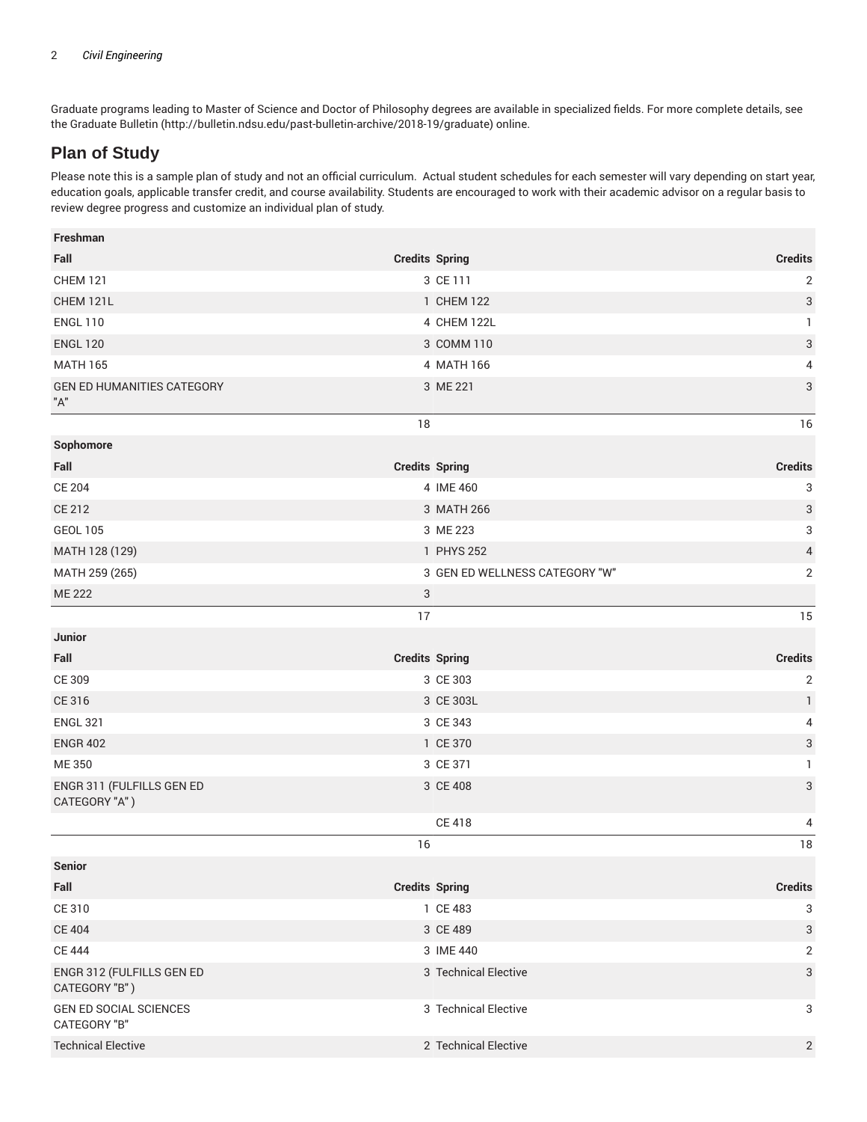Graduate programs leading to Master of Science and Doctor of Philosophy degrees are available in specialized fields. For more complete details, see the Graduate Bulletin (http://bulletin.ndsu.edu/past-bulletin-archive/2018-19/graduate) online.

## **Plan of Study**

Please note this is a sample plan of study and not an official curriculum. Actual student schedules for each semester will vary depending on start year, education goals, applicable transfer credit, and course availability. Students are encouraged to work with their academic advisor on a regular basis to review degree progress and customize an individual plan of study.

| Freshman                                   |                       |                                |                |
|--------------------------------------------|-----------------------|--------------------------------|----------------|
| Fall                                       | <b>Credits Spring</b> |                                | <b>Credits</b> |
| <b>CHEM 121</b>                            |                       | 3 CE 111                       | 2              |
| CHEM 121L                                  |                       | 1 CHEM 122<br>4 CHEM 122L      | 3              |
| <b>ENGL 110</b>                            |                       |                                | $\mathbf{1}$   |
| <b>ENGL 120</b>                            |                       | 3 COMM 110                     | 3              |
| <b>MATH 165</b>                            |                       | 4 MATH 166                     | 4              |
| <b>GEN ED HUMANITIES CATEGORY</b><br>$"A"$ |                       | 3 ME 221                       | 3              |
|                                            | 18                    |                                | 16             |
| Sophomore                                  |                       |                                |                |
| Fall                                       | <b>Credits Spring</b> |                                | <b>Credits</b> |
| <b>CE 204</b>                              |                       | 4 IME 460                      | 3              |
| CE 212                                     |                       | 3 MATH 266                     | 3              |
| <b>GEOL 105</b>                            |                       | 3 ME 223                       | 3              |
| MATH 128 (129)                             |                       | 1 PHYS 252                     | 4              |
| MATH 259 (265)                             |                       | 3 GEN ED WELLNESS CATEGORY "W" | 2              |
| <b>ME 222</b>                              | 3                     |                                |                |
|                                            | 17                    |                                | 15             |
| <b>Junior</b>                              |                       |                                |                |
| Fall                                       | <b>Credits Spring</b> |                                | <b>Credits</b> |
| CE 309                                     |                       | 3 CE 303                       | $\mathbf{2}$   |
| CE 316                                     |                       | 3 CE 303L                      | $\mathbf{1}$   |
| <b>ENGL 321</b>                            |                       | 3 CE 343                       | 4              |
| <b>ENGR 402</b>                            |                       | 1 CE 370                       | 3              |
| ME 350                                     |                       | 3 CE 371                       | $\mathbf{1}$   |
| ENGR 311 (FULFILLS GEN ED<br>CATEGORY "A") |                       | 3 CE 408                       | 3              |
|                                            |                       | <b>CE 418</b>                  | 4              |
|                                            | 16                    |                                | 18             |
| Senior                                     |                       |                                |                |
| Fall                                       | <b>Credits Spring</b> |                                | <b>Credits</b> |
| CE 310                                     |                       | 1 CE 483                       | 3              |
| <b>CE 404</b>                              |                       | 3 CE 489                       | 3              |
| <b>CE 444</b>                              |                       | 3 IME 440                      | $\sqrt{2}$     |
| ENGR 312 (FULFILLS GEN ED<br>CATEGORY "B") |                       | 3 Technical Elective           | 3              |
| GEN ED SOCIAL SCIENCES<br>CATEGORY "B"     |                       | 3 Technical Elective           | 3              |
|                                            |                       |                                |                |